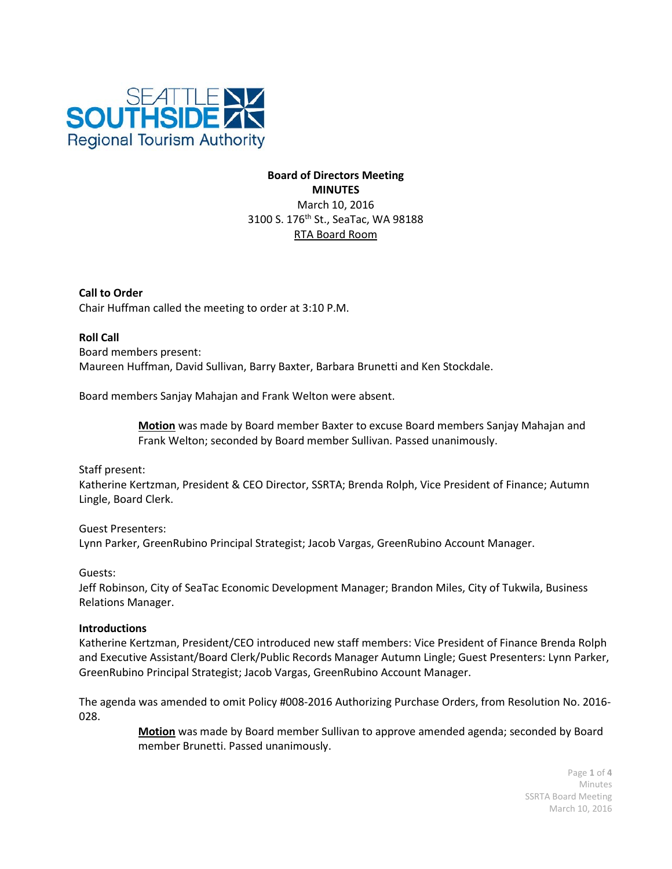

# **Board of Directors Meeting MINUTES** March 10, 2016 3100 S. 176<sup>th</sup> St., SeaTac, WA 98188 RTA Board Room

**Call to Order** Chair Huffman called the meeting to order at 3:10 P.M.

**Roll Call** Board members present: Maureen Huffman, David Sullivan, Barry Baxter, Barbara Brunetti and Ken Stockdale.

Board members Sanjay Mahajan and Frank Welton were absent.

**Motion** was made by Board member Baxter to excuse Board members Sanjay Mahajan and Frank Welton; seconded by Board member Sullivan. Passed unanimously.

Staff present:

Katherine Kertzman, President & CEO Director, SSRTA; Brenda Rolph, Vice President of Finance; Autumn Lingle, Board Clerk.

Guest Presenters: Lynn Parker, GreenRubino Principal Strategist; Jacob Vargas, GreenRubino Account Manager.

Guests:

Jeff Robinson, City of SeaTac Economic Development Manager; Brandon Miles, City of Tukwila, Business Relations Manager.

#### **Introductions**

Katherine Kertzman, President/CEO introduced new staff members: Vice President of Finance Brenda Rolph and Executive Assistant/Board Clerk/Public Records Manager Autumn Lingle; Guest Presenters: Lynn Parker, GreenRubino Principal Strategist; Jacob Vargas, GreenRubino Account Manager.

The agenda was amended to omit Policy #008-2016 Authorizing Purchase Orders, from Resolution No. 2016- 028.

> **Motion** was made by Board member Sullivan to approve amended agenda; seconded by Board member Brunetti. Passed unanimously.

> > Page **1** of **4** Minutes SSRTA Board Meeting March 10, 2016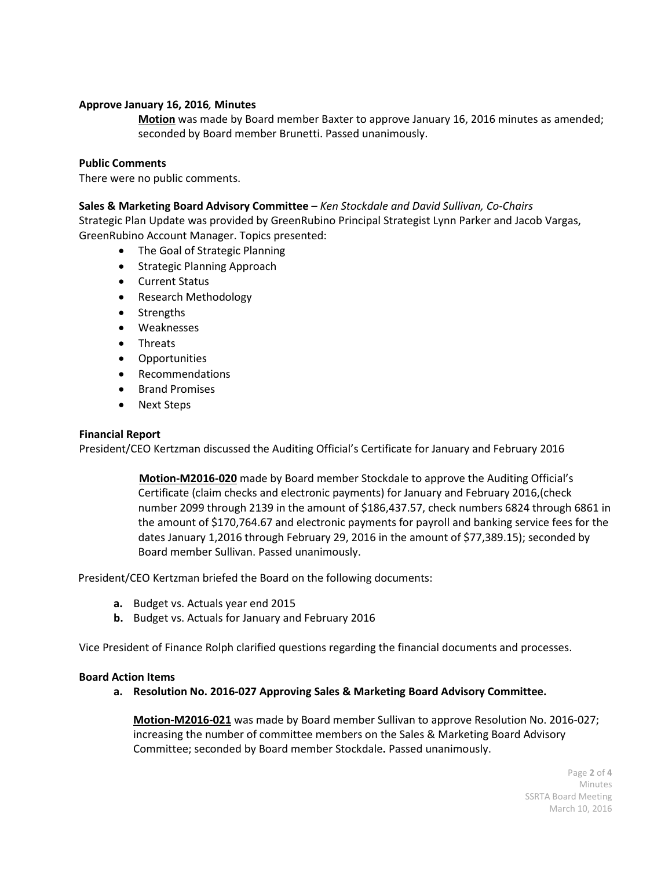## **Approve January 16, 2016***,* **Minutes**

**Motion** was made by Board member Baxter to approve January 16, 2016 minutes as amended; seconded by Board member Brunetti. Passed unanimously.

#### **Public Comments**

There were no public comments.

## **Sales & Marketing Board Advisory Committee** *– Ken Stockdale and David Sullivan, Co-Chairs*

Strategic Plan Update was provided by GreenRubino Principal Strategist Lynn Parker and Jacob Vargas, GreenRubino Account Manager. Topics presented:

- The Goal of Strategic Planning
- Strategic Planning Approach
- Current Status
- Research Methodology
- Strengths
- Weaknesses
- Threats
- Opportunities
- Recommendations
- Brand Promises
- Next Steps

## **Financial Report**

President/CEO Kertzman discussed the Auditing Official's Certificate for January and February 2016

**Motion-M2016-020** made by Board member Stockdale to approve the Auditing Official's Certificate (claim checks and electronic payments) for January and February 2016,(check number 2099 through 2139 in the amount of \$186,437.57, check numbers 6824 through 6861 in the amount of \$170,764.67 and electronic payments for payroll and banking service fees for the dates January 1,2016 through February 29, 2016 in the amount of \$77,389.15); seconded by Board member Sullivan. Passed unanimously.

President/CEO Kertzman briefed the Board on the following documents:

- **a.** Budget vs. Actuals year end 2015
- **b.** Budget vs. Actuals for January and February 2016

Vice President of Finance Rolph clarified questions regarding the financial documents and processes.

#### **Board Action Items**

**a. Resolution No. 2016-027 Approving Sales & Marketing Board Advisory Committee.**

**Motion-M2016-021** was made by Board member Sullivan to approve Resolution No. 2016-027; increasing the number of committee members on the Sales & Marketing Board Advisory Committee; seconded by Board member Stockdale**.** Passed unanimously.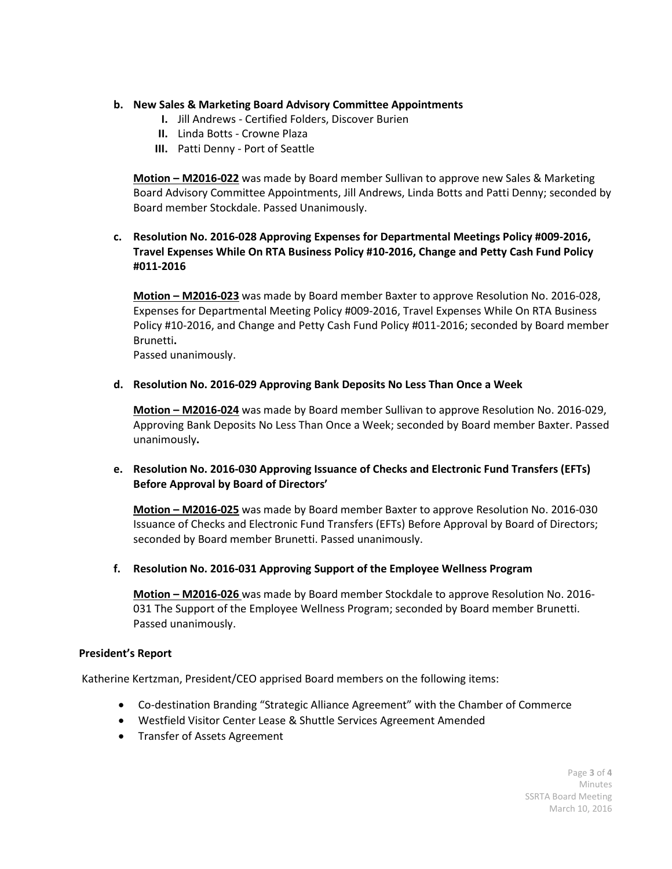## **b. New Sales & Marketing Board Advisory Committee Appointments**

- **I.** Jill Andrews Certified Folders, Discover Burien
- **II.** Linda Botts Crowne Plaza
- **III.** Patti Denny Port of Seattle

**Motion – M2016-022** was made by Board member Sullivan to approve new Sales & Marketing Board Advisory Committee Appointments, Jill Andrews, Linda Botts and Patti Denny; seconded by Board member Stockdale. Passed Unanimously.

# **c. Resolution No. 2016-028 Approving Expenses for Departmental Meetings Policy #009-2016, Travel Expenses While On RTA Business Policy #10-2016, Change and Petty Cash Fund Policy #011-2016**

**Motion – M2016-023** was made by Board member Baxter to approve Resolution No. 2016-028, Expenses for Departmental Meeting Policy #009-2016, Travel Expenses While On RTA Business Policy #10-2016, and Change and Petty Cash Fund Policy #011-2016; seconded by Board member Brunetti**.**

Passed unanimously.

**d. Resolution No. 2016-029 Approving Bank Deposits No Less Than Once a Week**

**Motion – M2016-024** was made by Board member Sullivan to approve Resolution No. 2016-029, Approving Bank Deposits No Less Than Once a Week; seconded by Board member Baxter. Passed unanimously**.**

**e. Resolution No. 2016-030 Approving Issuance of Checks and Electronic Fund Transfers (EFTs) Before Approval by Board of Directors'**

**Motion – M2016-025** was made by Board member Baxter to approve Resolution No. 2016-030 Issuance of Checks and Electronic Fund Transfers (EFTs) Before Approval by Board of Directors; seconded by Board member Brunetti. Passed unanimously.

**f. Resolution No. 2016-031 Approving Support of the Employee Wellness Program**

**Motion – M2016-026** was made by Board member Stockdale to approve Resolution No. 2016- 031 The Support of the Employee Wellness Program; seconded by Board member Brunetti. Passed unanimously.

#### **President's Report**

Katherine Kertzman, President/CEO apprised Board members on the following items:

- Co-destination Branding "Strategic Alliance Agreement" with the Chamber of Commerce
- Westfield Visitor Center Lease & Shuttle Services Agreement Amended
- Transfer of Assets Agreement

Page **3** of **4** Minutes SSRTA Board Meeting March 10, 2016